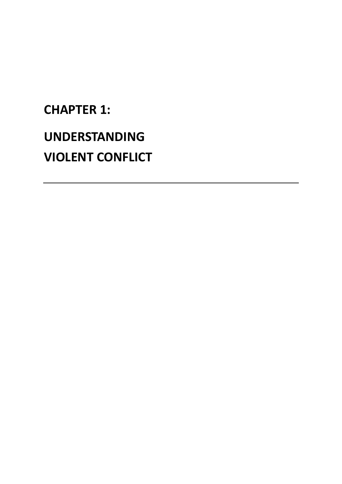# **CHAPTER 1: UNDERSTANDING VIOLENT CONFLICT**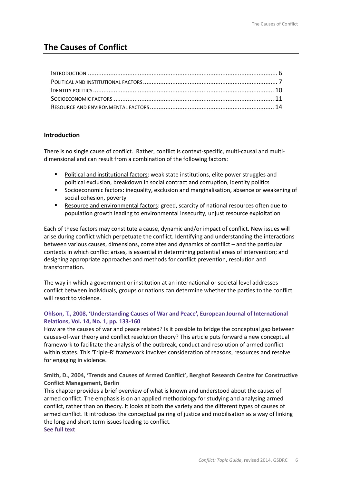# **The Causes of Conflict**

#### **Introduction**

There is no single cause of conflict. Rather, conflict is context-specific, multi-causal and multidimensional and can result from a combination of the following factors:

- **Political and institutional factors: weak state institutions, elite power struggles and** political exclusion, breakdown in social contract and corruption, identity politics
- Socioeconomic factors: inequality, exclusion and marginalisation, absence or weakening of social cohesion, poverty
- **Resource and environmental factors: greed, scarcity of national resources often due to** population growth leading to environmental insecurity, unjust resource exploitation

Each of these factors may constitute a cause, dynamic and/or impact of conflict. New issues will arise during conflict which perpetuate the conflict. Identifying and understanding the interactions between various causes, dimensions, correlates and dynamics of conflict – and the particular contexts in which conflict arises, is essential in determining potential areas of intervention; and designing appropriate approaches and methods for conflict prevention, resolution and transformation.

The way in which a government or institution at an international or societal level addresses conflict between individuals, groups or nations can determine whether the parties to the conflict will resort to violence.

#### **Ohlson, T., 2008, 'Understanding Causes of War and Peace', European Journal of International Relations, Vol. 14, No. 1, pp. 133-160**

How are the causes of war and peace related? Is it possible to bridge the conceptual gap between causes-of-war theory and conflict resolution theory? This article puts forward a new conceptual framework to facilitate the analysis of the outbreak, conduct and resolution of armed conflict within states. This 'Triple-R' framework involves consideration of reasons, resources and resolve for engaging in violence.

**Smith, D., 2004, 'Trends and Causes of Armed Conflict', Berghof Research Centre for Constructive Conflict Management, Berlin** 

This chapter provides a brief overview of what is known and understood about the causes of armed conflict. The emphasis is on an applied methodology for studying and analysing armed conflict, rather than on theory. It looks at both the variety and the different types of causes of armed conflict. It introduces the conceptual pairing of justice and mobilisation as a way of linking the long and short term issues leading to conflict. **See full text**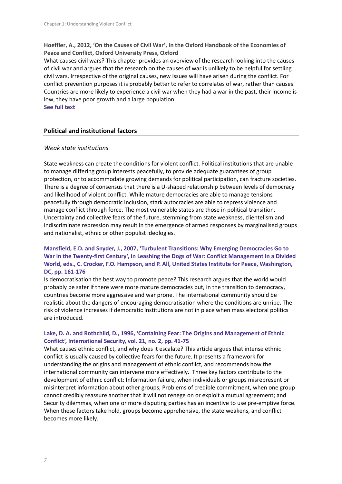**Hoeffler, A., 2012, 'On the Causes of Civil War', In the Oxford Handbook of the Economies of Peace and Conflict, Oxford University Press, Oxford**

What causes civil wars? This chapter provides an overview of the research looking into the causes of civil war and argues that the research on the causes of war is unlikely to be helpful for settling civil wars. Irrespective of the original causes, new issues will have arisen during the conflict. For conflict prevention purposes it is probably better to refer to correlates of war, rather than causes. Countries are more likely to experience a civil war when they had a war in the past, their income is low, they have poor growth and a large population.

**See full text**

#### **Political and institutional factors**

#### *Weak state institutions*

State weakness can create the conditions for violent conflict. Political institutions that are unable to manage differing group interests peacefully, to provide adequate guarantees of group protection, or to accommodate growing demands for political participation, can fracture societies. There is a degree of consensus that there is a U-shaped relationship between levels of democracy and likelihood of violent conflict. While mature democracies are able to manage tensions peacefully through democratic inclusion, stark autocracies are able to repress violence and manage conflict through force. The most vulnerable states are those in political transition. Uncertainty and collective fears of the future, stemming from state weakness, clientelism and indiscriminate repression may result in the emergence of armed responses by marginalised groups and nationalist, ethnic or other populist ideologies.

# **Mansfield, E.D. and Snyder, J., 2007, 'Turbulent Transitions: Why Emerging Democracies Go to War in the Twenty-first Century', in Leashing the Dogs of War: Conflict Management in a Divided World, eds., C. Crocker, F.O. Hampson, and P. All, United States Institute for Peace, Washington, DC, pp. 161-176**

Is democratisation the best way to promote peace? This research argues that the world would probably be safer if there were more mature democracies but, in the transition to democracy, countries become more aggressive and war prone. The international community should be realistic about the dangers of encouraging democratisation where the conditions are unripe. The risk of violence increases if democratic institutions are not in place when mass electoral politics are introduced.

#### **Lake, D. A. and Rothchild, D., 1996, 'Containing Fear: The Origins and Management of Ethnic Conflict', International Security, vol. 21, no. 2, pp. 41-75**

What causes ethnic conflict, and why does it escalate? This article argues that intense ethnic conflict is usually caused by collective fears for the future. It presents a framework for understanding the origins and management of ethnic conflict, and recommends how the international community can intervene more effectively. Three key factors contribute to the development of ethnic conflict: Information failure, when individuals or groups misrepresent or misinterpret information about other groups; Problems of credible commitment, when one group cannot credibly reassure another that it will not renege on or exploit a mutual agreement; and Security dilemmas, when one or more disputing parties has an incentive to use pre-emptive force. When these factors take hold, groups become apprehensive, the state weakens, and conflict becomes more likely.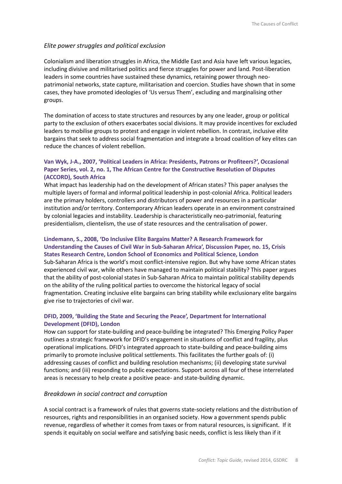#### *Elite power struggles and political exclusion*

Colonialism and liberation struggles in Africa, the Middle East and Asia have left various legacies, including divisive and militarised politics and fierce struggles for power and land. Post-liberation leaders in some countries have sustained these dynamics, retaining power through neopatrimonial networks, state capture, militarisation and coercion. Studies have shown that in some cases, they have promoted ideologies of 'Us versus Them', excluding and marginalising other groups.

The domination of access to state structures and resources by any one leader, group or political party to the exclusion of others exacerbates social divisions. It may provide incentives for excluded leaders to mobilise groups to protest and engage in violent rebellion. In contrast, inclusive elite bargains that seek to address social fragmentation and integrate a broad coalition of key elites can reduce the chances of violent rebellion.

#### **Van Wyk, J-A., 2007, 'Political Leaders in Africa: Presidents, Patrons or Profiteers?', Occasional Paper Series, vol. 2, no. 1, The African Centre for the Constructive Resolution of Disputes (ACCORD), South Africa**

What impact has leadership had on the development of African states? This paper analyses the multiple layers of formal and informal political leadership in post-colonial Africa. Political leaders are the primary holders, controllers and distributors of power and resources in a particular institution and/or territory. Contemporary African leaders operate in an environment constrained by colonial legacies and instability. Leadership is characteristically neo-patrimonial, featuring presidentialism, clientelism, the use of state resources and the centralisation of power.

# **Lindemann, S., 2008, 'Do Inclusive Elite Bargains Matter? A Research Framework for Understanding the Causes of Civil War in Sub-Saharan Africa', Discussion Paper, no. 15, Crisis States Research Centre, London School of Economics and Political Science, London**

Sub-Saharan Africa is the world's most conflict-intensive region. But why have some African states experienced civil war, while others have managed to maintain political stability? This paper argues that the ability of post-colonial states in Sub-Saharan Africa to maintain political stability depends on the ability of the ruling political parties to overcome the historical legacy of social fragmentation. Creating inclusive elite bargains can bring stability while exclusionary elite bargains give rise to trajectories of civil war.

#### **DFID, 2009, 'Building the State and Securing the Peace', Department for International Development (DFID), London**

How can support for state-building and peace-building be integrated? This Emerging Policy Paper outlines a strategic framework for DFID's engagement in situations of conflict and fragility, plus operational implications. DFID's integrated approach to state-building and peace-building aims primarily to promote inclusive political settlements. This facilitates the further goals of: (i) addressing causes of conflict and building resolution mechanisms; (ii) developing state survival functions; and (iii) responding to public expectations. Support across all four of these interrelated areas is necessary to help create a positive peace- and state-building dynamic.

#### *Breakdown in social contract and corruption*

A social contract is a framework of rules that governs state-society relations and the distribution of resources, rights and responsibilities in an organised society. How a government spends public revenue, regardless of whether it comes from taxes or from natural resources, is significant. If it spends it equitably on social welfare and satisfying basic needs, conflict is less likely than if it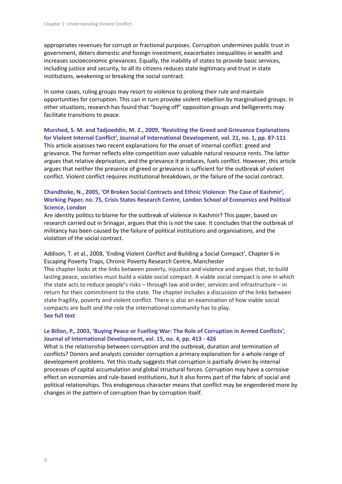appropriates revenues for corrupt or fractional purposes. Corruption undermines public trust in government, deters domestic and foreign investment, exacerbates inequalities in wealth and increases socioeconomic grievances. Equally, the inability of states to provide basic services, including justice and security, to all its citizens reduces state legitimacy and trust in state institutions, weakening or breaking the social contract.

In some cases, ruling groups may resort to violence to prolong their rule and maintain opportunities for corruption. This can in turn provoke violent rebellion by marginalised groups. In other situations, research has found that "buying off" opposition groups and belligerents may facilitate transitions to peace.

#### **Murshed, S. M. and Tadjoeddin, M. Z., 2009, 'Revisiting the Greed and Grievance Explanations for Violent Internal Conflict', Journal of International Development, vol. 21, no. 1, pp. 87-111**

This article assesses two recent explanations for the onset of internal conflict: greed and grievance. The former reflects elite competition over valuable natural resource rents. The latter argues that relative deprivation, and the grievance it produces, fuels conflict. However, this article argues that neither the presence of greed or grievance is sufficient for the outbreak of violent conflict. Violent conflict requires institutional breakdown, or the failure of the social contract.

#### **Chandhoke, N., 2005, 'Of Broken Social Contracts and Ethnic Violence: The Case of Kashmir', Working Paper, no. 75, Crisis States Research Centre, London School of Economics and Political Science, London**

Are identity politics to blame for the outbreak of violence in Kashmir? This paper, based on research carried out in Srinagar, argues that this is not the case. It concludes that the outbreak of militancy has been caused by the failure of political institutions and organisations, and the violation of the social contract.

#### Addison, T. et al., 2008, 'Ending Violent Conflict and Building a Social Compact', Chapter 6 in Escaping Poverty Traps, Chronic Poverty Research Centre, Manchester

This chapter looks at the links between poverty, injustice and violence and argues that, to build lasting peace, societies must build a viable social compact. A viable social compact is one in which the state acts to reduce people's risks – through law and order, services and infrastructure – in return for their commitment to the state. The chapter includes a discussion of the links between state fragility, poverty and violent conflict. There is also an examination of how viable social compacts are built and the role the international community has to play. **See full text**

# **Le Billon, P., 2003, 'Buying Peace or Fuelling War: The Role of Corruption in Armed Conflicts', Journal of International Development, vol. 15, no. 4, pp. 413 - 426**

What is the relationship between corruption and the outbreak, duration and termination of conflicts? Donors and analysts consider corruption a primary explanation for a whole range of development problems. Yet this study suggests that corruption is partially driven by internal processes of capital accumulation and global structural forces. Corruption may have a corrosive effect on economies and rule-based institutions, but it also forms part of the fabric of social and political relationships. This endogenous character means that conflict may be engendered more by changes in the pattern of corruption than by corruption itself.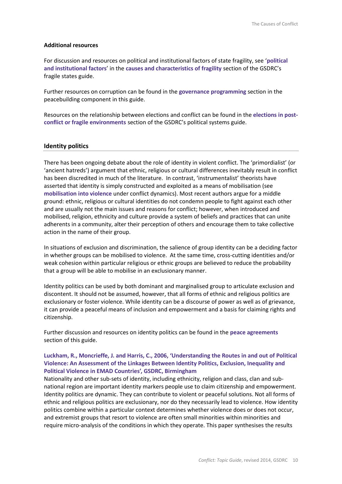#### **Additional resources**

For discussion and resources on political and institutional factors of state fragility, see '**political and institutional factors**' in the **causes and characteristics of fragility** section of the GSDRC's fragile states guide.

Further resources on corruption can be found in the **governance programming** section in the peacebuilding component in this guide.

Resources on the relationship between elections and conflict can be found in the **elections in postconflict or fragile environments** section of the GSDRC's political systems guide.

#### **Identity politics**

There has been ongoing debate about the role of identity in violent conflict. The 'primordialist' (or 'ancient hatreds') argument that ethnic, religious or cultural differences inevitably result in conflict has been discredited in much of the literature. In contrast, 'instrumentalist' theorists have asserted that identity is simply constructed and exploited as a means of mobilisation (see **mobilisation into violence** under conflict dynamics). Most recent authors argue for a middle ground: ethnic, religious or cultural identities do not condemn people to fight against each other and are usually not the main issues and reasons for conflict; however, when introduced and mobilised, religion, ethnicity and culture provide a system of beliefs and practices that can unite adherents in a community, alter their perception of others and encourage them to take collective action in the name of their group.

In situations of exclusion and discrimination, the salience of group identity can be a deciding factor in whether groups can be mobilised to violence. At the same time, cross-cutting identities and/or weak cohesion within particular religious or ethnic groups are believed to reduce the probability that a group will be able to mobilise in an exclusionary manner.

Identity politics can be used by both dominant and marginalised group to articulate exclusion and discontent. It should not be assumed, however, that all forms of ethnic and religious politics are exclusionary or foster violence. While identity can be a discourse of power as well as of grievance, it can provide a peaceful means of inclusion and empowerment and a basis for claiming rights and citizenship.

Further discussion and resources on identity politics can be found in the **peace agreements** section of this guide.

#### **Luckham, R., Moncrieffe, J. and Harris, C., 2006, 'Understanding the Routes in and out of Political Violence: An Assessment of the Linkages Between Identity Politics, Exclusion, Inequality and Political Violence in EMAD Countries', GSDRC, Birmingham**

Nationality and other sub-sets of identity, including ethnicity, religion and class, clan and subnational region are important identity markers people use to claim citizenship and empowerment. Identity politics are dynamic. They can contribute to violent or peaceful solutions. Not all forms of ethnic and religious politics are exclusionary, nor do they necessarily lead to violence. How identity politics combine within a particular context determines whether violence does or does not occur, and extremist groups that resort to violence are often small minorities within minorities and require micro-analysis of the conditions in which they operate. This paper synthesises the results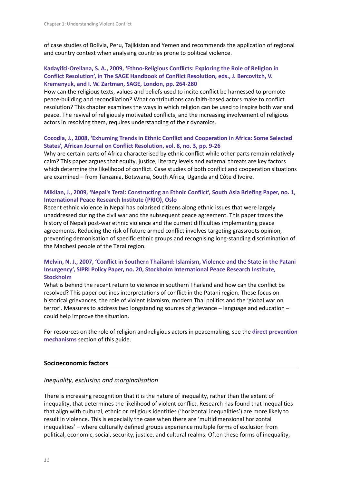of case studies of Bolivia, Peru, Tajikistan and Yemen and recommends the application of regional and country context when analysing countries prone to political violence.

#### **Kadayifci-Orellana, S. A., 2009, 'Ethno-Religious Conflicts: Exploring the Role of Religion in Conflict Resolution', in The SAGE Handbook of Conflict Resolution, eds., J. Bercovitch, V. Kremenyuk, and I. W. Zartman, SAGE, London, pp. 264-280**

How can the religious texts, values and beliefs used to incite conflict be harnessed to promote peace-building and reconciliation? What contributions can faith-based actors make to conflict resolution? This chapter examines the ways in which religion can be used to inspire both war and peace. The revival of religiously motivated conflicts, and the increasing involvement of religious actors in resolving them, requires understanding of their dynamics.

#### **Cocodia, J., 2008, 'Exhuming Trends in Ethnic Conflict and Cooperation in Africa: Some Selected States', African Journal on Conflict Resolution, vol. 8, no. 3, pp. 9-26**

Why are certain parts of Africa characterised by ethnic conflict while other parts remain relatively calm? This paper argues that equity, justice, literacy levels and external threats are key factors which determine the likelihood of conflict. Case studies of both conflict and cooperation situations are examined – from Tanzania, Botswana, South Africa, Uganda and Côte d'Ivoire.

#### **Miklian, J., 2009, 'Nepal's Terai: Constructing an Ethnic Conflict', South Asia Briefing Paper, no. 1, International Peace Research Institute (PRIO), Oslo**

Recent ethnic violence in Nepal has polarised citizens along ethnic issues that were largely unaddressed during the civil war and the subsequent peace agreement. This paper traces the history of Nepali post-war ethnic violence and the current difficulties implementing peace agreements. Reducing the risk of future armed conflict involves targeting grassroots opinion, preventing demonisation of specific ethnic groups and recognising long-standing discrimination of the Madhesi people of the Terai region.

#### **Melvin, N. J., 2007, 'Conflict in Southern Thailand: Islamism, Violence and the State in the Patani Insurgency', SIPRI Policy Paper, no. 20, Stockholm International Peace Research Institute, Stockholm**

What is behind the recent return to violence in southern Thailand and how can the conflict be resolved? This paper outlines interpretations of conflict in the Patani region. These focus on historical grievances, the role of violent Islamism, modern Thai politics and the 'global war on terror'. Measures to address two longstanding sources of grievance – language and education – could help improve the situation.

For resources on the role of religion and religious actors in peacemaking, see the **direct prevention mechanisms** section of this guide.

# **Socioeconomic factors**

#### *Inequality, exclusion and marginalisation*

There is increasing recognition that it is the nature of inequality, rather than the extent of inequality, that determines the likelihood of violent conflict. Research has found that inequalities that align with cultural, ethnic or religious identities ('horizontal inequalities') are more likely to result in violence. This is especially the case when there are 'multidimensional horizontal inequalities' – where culturally defined groups experience multiple forms of exclusion from political, economic, social, security, justice, and cultural realms. Often these forms of inequality,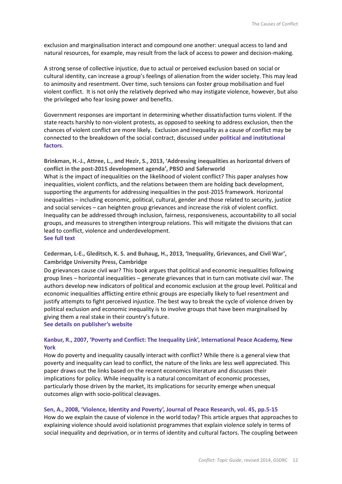exclusion and marginalisation interact and compound one another: unequal access to land and natural resources, for example, may result from the lack of access to power and decision-making.

A strong sense of collective injustice, due to actual or perceived exclusion based on social or cultural identity, can increase a group's feelings of alienation from the wider society. This may lead to animosity and resentment. Over time, such tensions can foster group mobilisation and fuel violent conflict. It is not only the relatively deprived who may instigate violence, however, but also the privileged who fear losing power and benefits.

Government responses are important in determining whether dissatisfaction turns violent. If the state reacts harshly to non-violent protests, as opposed to seeking to address exclusion, then the chances of violent conflict are more likely. Exclusion and inequality as a cause of conflict may be connected to the breakdown of the social contract, discussed under **political and institutional factors**.

**Brinkman, H.-J., Attree, L., and Hezir, S., 2013, 'Addressing inequalities as horizontal drivers of conflict in the post-2015 development agenda', PBSO and Saferworld** What is the impact of inequalities on the likelihood of violent conflict? This paper analyses how inequalities, violent conflicts, and the relations between them are holding back development, supporting the arguments for addressing inequalities in the post-2015 framework. Horizontal inequalities – including economic, political, cultural, gender and those related to security, justice and social services – can heighten group grievances and increase the risk of violent conflict. Inequality can be addressed through inclusion, fairness, responsiveness, accountability to all social groups, and measures to strengthen intergroup relations. This will mitigate the divisions that can lead to conflict, violence and underdevelopment. **See full text**

**Cederman, L-E., Gleditsch, K. S. and Buhaug, H., 2013, 'Inequality, Grievances, and Civil War', Cambridge University Press, Cambridge**

Do grievances cause civil war? This book argues that political and economic inequalities following group lines – horizontal inequalities – generate grievances that in turn can motivate civil war. The authors develop new indicators of political and economic exclusion at the group level. Political and economic inequalities afflicting entire ethnic groups are especially likely to fuel resentment and justify attempts to fight perceived injustice. The best way to break the cycle of violence driven by political exclusion and economic inequality is to involve groups that have been marginalised by giving them a real stake in their country's future.

**See details on publisher's website**

#### **Kanbur, R., 2007, 'Poverty and Conflict: The Inequality Link', International Peace Academy, New York**

How do poverty and inequality causally interact with conflict? While there is a general view that poverty and inequality can lead to conflict, the nature of the links are less well appreciated. This paper draws out the links based on the recent economics literature and discusses their implications for policy. While inequality is a natural concomitant of economic processes, particularly those driven by the market, its implications for security emerge when unequal outcomes align with socio-political cleavages.

#### **Sen, A., 2008, 'Violence, Identity and Poverty', Journal of Peace Research, vol. 45, pp.5-15**

How do we explain the cause of violence in the world today? This article argues that approaches to explaining violence should avoid isolationist programmes that explain violence solely in terms of social inequality and deprivation, or in terms of identity and cultural factors. The coupling between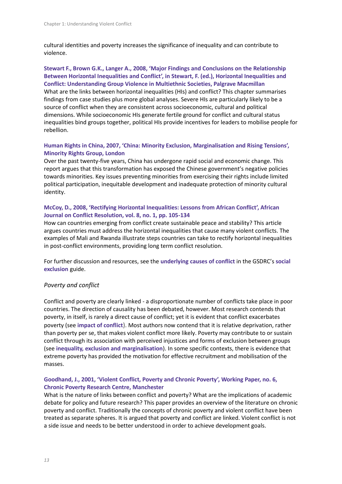cultural identities and poverty increases the significance of inequality and can contribute to violence.

#### **Stewart F., Brown G.K., Langer A., 2008, 'Major Findings and Conclusions on the Relationship Between Horizontal Inequalities and Conflict', in Stewart, F. (ed.), Horizontal Inequalities and Conflict: Understanding Group Violence in Multiethnic Societies, Palgrave Macmillan**

What are the links between horizontal inequalities (HIs) and conflict? This chapter summarises findings from case studies plus more global analyses. Severe HIs are particularly likely to be a source of conflict when they are consistent across socioeconomic, cultural and political dimensions. While socioeconomic HIs generate fertile ground for conflict and cultural status inequalities bind groups together, political HIs provide incentives for leaders to mobilise people for rebellion.

#### **Human Rights in China, 2007, 'China: Minority Exclusion, Marginalisation and Rising Tensions', Minority Rights Group, London**

Over the past twenty-five years, China has undergone rapid social and economic change. This report argues that this transformation has exposed the Chinese government's negative policies towards minorities. Key issues preventing minorities from exercising their rights include limited political participation, inequitable development and inadequate protection of minority cultural identity.

# **McCoy, D., 2008, 'Rectifying Horizontal Inequalities: Lessons from African Conflict', African Journal on Conflict Resolution, vol. 8, no. 1, pp. 105-134**

How can countries emerging from conflict create sustainable peace and stability? This article argues countries must address the horizontal inequalities that cause many violent conflicts. The examples of Mali and Rwanda illustrate steps countries can take to rectify horizontal inequalities in post-conflict environments, providing long term conflict resolution.

For further discussion and resources, see the **underlying causes of conflict** in the GSDRC's **social exclusion** guide.

# *Poverty and conflict*

Conflict and poverty are clearly linked - a disproportionate number of conflicts take place in poor countries. The direction of causality has been debated, however. Most research contends that poverty, in itself, is rarely a direct cause of conflict; yet it is evident that conflict exacerbates poverty (see **impact of conflict**). Most authors now contend that it is relative deprivation, rather than poverty per se, that makes violent conflict more likely. Poverty may contribute to or sustain conflict through its association with perceived injustices and forms of exclusion between groups (see **inequality, exclusion and marginalisation**). In some specific contexts, there is evidence that extreme poverty has provided the motivation for effective recruitment and mobilisation of the masses.

#### **Goodhand, J., 2001, 'Violent Conflict, Poverty and Chronic Poverty', Working Paper, no. 6, Chronic Poverty Research Centre, Manchester**

What is the nature of links between conflict and poverty? What are the implications of academic debate for policy and future research? This paper provides an overview of the literature on chronic poverty and conflict. Traditionally the concepts of chronic poverty and violent conflict have been treated as separate spheres. It is argued that poverty and conflict are linked. Violent conflict is not a side issue and needs to be better understood in order to achieve development goals.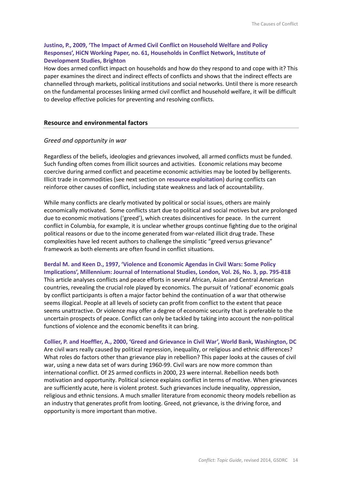#### **Justino, P., 2009, 'The Impact of Armed Civil Conflict on Household Welfare and Policy Responses', HiCN Working Paper, no. 61, Households in Conflict Network, Institute of Development Studies, Brighton**

How does armed conflict impact on households and how do they respond to and cope with it? This paper examines the direct and indirect effects of conflicts and shows that the indirect effects are channelled through markets, political institutions and social networks. Until there is more research on the fundamental processes linking armed civil conflict and household welfare, it will be difficult to develop effective policies for preventing and resolving conflicts.

#### **Resource and environmental factors**

#### *Greed and opportunity in war*

Regardless of the beliefs, ideologies and grievances involved, all armed conflicts must be funded. Such funding often comes from illicit sources and activities. Economic relations may become coercive during armed conflict and peacetime economic activities may be looted by belligerents. Illicit trade in commodities (see next section on **resource exploitation**) during conflicts can reinforce other causes of conflict, including state weakness and lack of accountability.

While many conflicts are clearly motivated by political or social issues, others are mainly economically motivated. Some conflicts start due to political and social motives but are prolonged due to economic motivations ('greed'), which creates disincentives for peace. In the current conflict in Columbia, for example, it is unclear whether groups continue fighting due to the original political reasons or due to the income generated from war-related illicit drug trade. These complexities have led recent authors to challenge the simplistic "greed versus grievance" framework as both elements are often found in conflict situations.

**Berdal M. and Keen D., 1997, 'Violence and Economic Agendas in Civil Wars: Some Policy Implications', Millennium: Journal of International Studies, London, Vol. 26, No. 3, pp. 795-818** This article analyses conflicts and peace efforts in several African, Asian and Central American countries, revealing the crucial role played by economics. The pursuit of 'rational' economic goals by conflict participants is often a major factor behind the continuation of a war that otherwise seems illogical. People at all levels of society can profit from conflict to the extent that peace seems unattractive. Or violence may offer a degree of economic security that is preferable to the uncertain prospects of peace. Conflict can only be tackled by taking into account the non-political functions of violence and the economic benefits it can bring.

**Collier, P. and Hoeffler, A., 2000, 'Greed and Grievance in Civil War', World Bank, Washington, DC** Are civil wars really caused by political repression, inequality, or religious and ethnic differences? What roles do factors other than grievance play in rebellion? This paper looks at the causes of civil war, using a new data set of wars during 1960-99. Civil wars are now more common than international conflict. Of 25 armed conflicts in 2000, 23 were internal. Rebellion needs both motivation and opportunity. Political science explains conflict in terms of motive. When grievances are sufficiently acute, here is violent protest. Such grievances include inequality, oppression, religious and ethnic tensions. A much smaller literature from economic theory models rebellion as an industry that generates profit from looting. Greed, not grievance, is the driving force, and opportunity is more important than motive.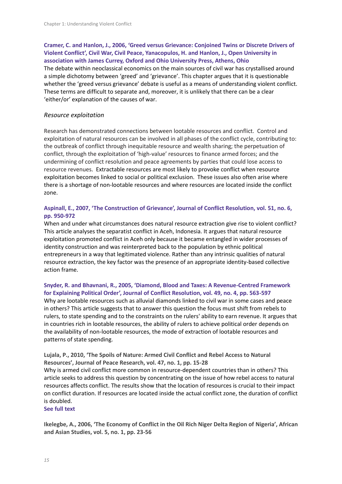# **Cramer, C. and Hanlon, J., 2006, 'Greed versus Grievance: Conjoined Twins or Discrete Drivers of Violent Conflict', Civil War, Civil Peace, Yanacopulos, H. and Hanlon, J., Open University in association with James Currey, Oxford and Ohio University Press, Athens, Ohio** The debate within neoclassical economics on the main sources of civil war has crystallised around

a simple dichotomy between 'greed' and 'grievance'. This chapter argues that it is questionable whether the 'greed versus grievance' debate is useful as a means of understanding violent conflict. These terms are difficult to separate and, moreover, it is unlikely that there can be a clear 'either/or' explanation of the causes of war.

#### *Resource exploitation*

Research has demonstrated connections between lootable resources and conflict. Control and exploitation of natural resources can be involved in all phases of the conflict cycle, contributing to: the outbreak of conflict through inequitable resource and wealth sharing; the perpetuation of conflict, through the exploitation of 'high-value' resources to finance armed forces; and the undermining of conflict resolution and peace agreements by parties that could lose access to resource revenues. Extractable resources are most likely to provoke conflict when resource exploitation becomes linked to social or political exclusion. These issues also often arise where there is a shortage of non-lootable resources and where resources are located inside the conflict zone.

#### **Aspinall, E., 2007, 'The Construction of Grievance', Journal of Conflict Resolution, vol. 51, no. 6, pp. 950-972**

When and under what circumstances does natural resource extraction give rise to violent conflict? This article analyses the separatist conflict in Aceh, Indonesia. It argues that natural resource exploitation promoted conflict in Aceh only because it became entangled in wider processes of identity construction and was reinterpreted back to the population by ethnic political entrepreneurs in a way that legitimated violence. Rather than any intrinsic qualities of natural resource extraction, the key factor was the presence of an appropriate identity-based collective action frame.

#### **Snyder, R. and Bhavnani, R., 2005, 'Diamond, Blood and Taxes: A Revenue-Centred Framework for Explaining Political Order', Journal of Conflict Resolution, vol. 49, no. 4, pp. 563-597**

Why are lootable resources such as alluvial diamonds linked to civil war in some cases and peace in others? This article suggests that to answer this question the focus must shift from rebels to rulers, to state spending and to the constraints on the rulers' ability to earn revenue. It argues that in countries rich in lootable resources, the ability of rulers to achieve political order depends on the availability of non-lootable resources, the mode of extraction of lootable resources and patterns of state spending.

**Lujala, P., 2010, 'The Spoils of Nature: Armed Civil Conflict and Rebel Access to Natural Resources', Journal of Peace Research, vol. 47, no. 1, pp. 15-28** Why is armed civil conflict more common in resource-dependent countries than in others? This article seeks to address this question by concentrating on the issue of how rebel access to natural resources affects conflict. The results show that the location of resources is crucial to their impact on conflict duration. If resources are located inside the actual conflict zone, the duration of conflict is doubled.

#### **See full text**

**Ikelegbe, A., 2006, 'The Economy of Conflict in the Oil Rich Niger Delta Region of Nigeria', African and Asian Studies, vol. 5, no. 1, pp. 23-56**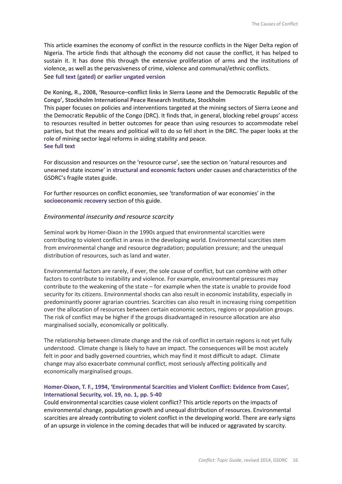This article examines the economy of conflict in the resource conflicts in the Niger Delta region of Nigeria. The article finds that although the economy did not cause the conflict, it has helped to sustain it. It has done this through the extensive proliferation of arms and the institutions of violence, as well as the pervasiveness of crime, violence and communal/ethnic conflicts. See **full text (gated)** or **earlier ungated version**

**De Koning, R., 2008, 'Resource–conflict links in Sierra Leone and the Democratic Republic of the Congo', Stockholm International Peace Research Institute, Stockholm**

This paper focuses on policies and interventions targeted at the mining sectors of Sierra Leone and the Democratic Republic of the Congo (DRC). It finds that, in general, blocking rebel groups' access to resources resulted in better outcomes for peace than using resources to accommodate rebel parties, but that the means and political will to do so fell short in the DRC. The paper looks at the role of mining sector legal reforms in aiding stability and peace. **See full text**

For discussion and resources on the 'resource curse', see the section on 'natural resources and unearned state income' in **structural and economic factors** under causes and characteristics of the GSDRC's fragile states guide.

For further resources on conflict economies, see 'transformation of war economies' in the **socioeconomic recovery** section of this guide.

#### *Environmental insecurity and resource scarcity*

Seminal work by Homer-Dixon in the 1990s argued that environmental scarcities were contributing to violent conflict in areas in the developing world. Environmental scarcities stem from environmental change and resource degradation; population pressure; and the unequal distribution of resources, such as land and water.

Environmental factors are rarely, if ever, the sole cause of conflict, but can combine with other factors to contribute to instability and violence. For example, environmental pressures may contribute to the weakening of the state – for example when the state is unable to provide food security for its citizens. Environmental shocks can also result in economic instability, especially in predominantly poorer agrarian countries. Scarcities can also result in increasing rising competition over the allocation of resources between certain economic sectors, regions or population groups. The risk of conflict may be higher if the groups disadvantaged in resource allocation are also marginalised socially, economically or politically.

The relationship between climate change and the risk of conflict in certain regions is not yet fully understood. Climate change is likely to have an impact. The consequences will be most acutely felt in poor and badly governed countries, which may find it most difficult to adapt. Climate change may also exacerbate communal conflict, most seriously affecting politically and economically marginalised groups.

#### **Homer-Dixon, T. F., 1994, 'Environmental Scarcities and Violent Conflict: Evidence from Cases', International Security, vol. 19, no. 1, pp. 5-40**

Could environmental scarcities cause violent conflict? This article reports on the impacts of environmental change, population growth and unequal distribution of resources. Environmental scarcities are already contributing to violent conflict in the developing world. There are early signs of an upsurge in violence in the coming decades that will be induced or aggravated by scarcity.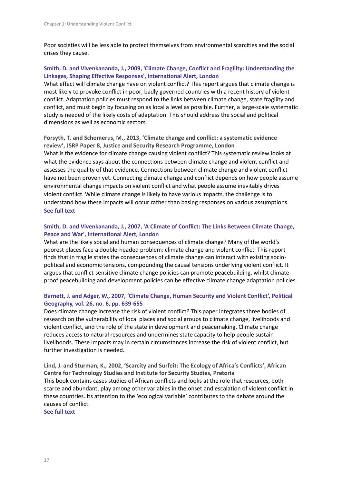Poor societies will be less able to protect themselves from environmental scarcities and the social crises they cause.

# **Smith, D. and Vivenkananda, J., 2009, 'Climate Change, Conflict and Fragility: Understanding the Linkages, Shaping Effective Responses', International Alert, London**

What effect will climate change have on violent conflict? This report argues that climate change is most likely to provoke conflict in poor, badly governed countries with a recent history of violent conflict. Adaptation policies must respond to the links between climate change, state fragility and conflict, and must begin by focusing on as local a level as possible. Further, a large-scale systematic study is needed of the likely costs of adaptation. This should address the social and political dimensions as well as economic sectors.

**Forsyth, T. and Schomerus, M., 2013, 'Climate change and conflict: a systematic evidence review', JSRP Paper 8, Justice and Security Research Programme, London** What is the evidence for climate change causing violent conflict? This systematic review looks at what the evidence says about the connections between climate change and violent conflict and assesses the quality of that evidence. Connections between climate change and violent conflict have not been proven yet. Connecting climate change and conflict depends on how people assume environmental change impacts on violent conflict and what people assume inevitably drives violent conflict. While climate change is likely to have various impacts, the challenge is to understand how these impacts will occur rather than basing responses on various assumptions. **See full text**

# **Smith, D. and Vivenkananda, J., 2007, 'A Climate of Conflict: The Links Between Climate Change, Peace and War', International Alert, London**

What are the likely social and human consequences of climate change? Many of the world's poorest places face a double-headed problem: climate change and violent conflict. This report finds that in fragile states the consequences of climate change can interact with existing sociopolitical and economic tensions, compounding the causal tensions underlying violent conflict. It argues that conflict-sensitive climate change policies can promote peacebuilding, whilst climateproof peacebuilding and development policies can be effective climate change adaptation policies.

# **Barnett, J. and Adger, W., 2007, 'Climate Change, Human Security and Violent Conflict', Political Geography, vol. 26, no. 6, pp. 639-655**

Does climate change increase the risk of violent conflict? This paper integrates three bodies of research on the vulnerability of local places and social groups to climate change, livelihoods and violent conflict, and the role of the state in development and peacemaking. Climate change reduces access to natural resources and undermines state capacity to help people sustain livelihoods. These impacts may in certain circumstances increase the risk of violent conflict, but further investigation is needed.

**Lind, J. and Sturman, K., 2002, 'Scarcity and Surfeit: The Ecology of Africa's Conflicts', African Centre for Technology Studies and Institute for Security Studies, Pretoria** This book contains cases studies of African conflicts and looks at the role that resources, both scarce and abundant, play among other variables in the onset and escalation of violent conflict in these countries. Its attention to the 'ecological variable' contributes to the debate around the causes of conflict.

**See full text**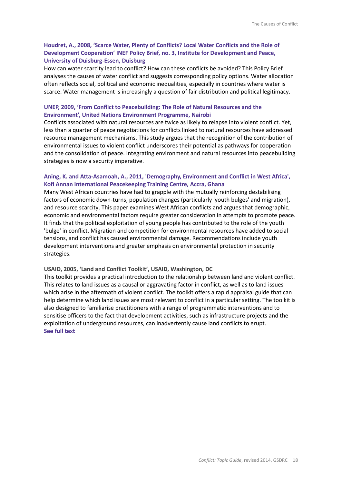# **Houdret, A., 2008, 'Scarce Water, Plenty of Conflicts? Local Water Conflicts and the Role of Development Cooperation' INEF Policy Brief, no. 3, Institute for Development and Peace, University of Duisburg-Essen, Duisburg**

How can water scarcity lead to conflict? How can these conflicts be avoided? This Policy Brief analyses the causes of water conflict and suggests corresponding policy options. Water allocation often reflects social, political and economic inequalities, especially in countries where water is scarce. Water management is increasingly a question of fair distribution and political legitimacy.

#### **UNEP, 2009, 'From Conflict to Peacebuilding: The Role of Natural Resources and the Environment', United Nations Environment Programme, Nairobi**

Conflicts associated with natural resources are twice as likely to relapse into violent conflict. Yet, less than a quarter of peace negotiations for conflicts linked to natural resources have addressed resource management mechanisms. This study argues that the recognition of the contribution of environmental issues to violent conflict underscores their potential as pathways for cooperation and the consolidation of peace. Integrating environment and natural resources into peacebuilding strategies is now a security imperative.

#### **Aning, K. and Atta-Asamoah, A., 2011, 'Demography, Environment and Conflict in West Africa', Kofi Annan International Peacekeeping Training Centre, Accra, Ghana**

Many West African countries have had to grapple with the mutually reinforcing destabilising factors of economic down-turns, population changes (particularly 'youth bulges' and migration), and resource scarcity. This paper examines West African conflicts and argues that demographic, economic and environmental factors require greater consideration in attempts to promote peace. It finds that the political exploitation of young people has contributed to the role of the youth 'bulge' in conflict. Migration and competition for environmental resources have added to social tensions, and conflict has caused environmental damage. Recommendations include youth development interventions and greater emphasis on environmental protection in security strategies.

#### **USAID, 2005, 'Land and Conflict Toolkit', USAID, Washington, DC**

This toolkit provides a practical introduction to the relationship between land and violent conflict. This relates to land issues as a causal or aggravating factor in conflict, as well as to land issues which arise in the aftermath of violent conflict. The toolkit offers a rapid appraisal guide that can help determine which land issues are most relevant to conflict in a particular setting. The toolkit is also designed to familiarise practitioners with a range of programmatic interventions and to sensitise officers to the fact that development activities, such as infrastructure projects and the exploitation of underground resources, can inadvertently cause land conflicts to erupt. **See full text**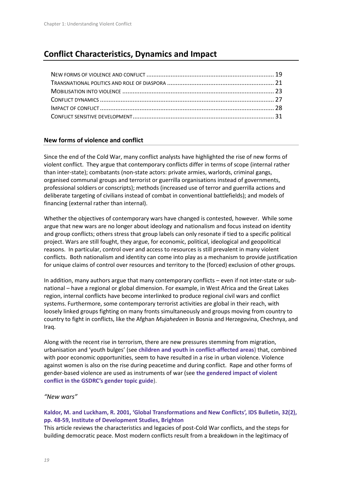# **Conflict Characteristics, Dynamics and Impact**

#### **New forms of violence and conflict**

Since the end of the Cold War, many conflict analysts have highlighted the rise of new forms of violent conflict. They argue that contemporary conflicts differ in terms of scope (internal rather than inter-state); combatants (non-state actors: private armies, warlords, criminal gangs, organised communal groups and terrorist or guerrilla organisations instead of governments, professional soldiers or conscripts); methods (increased use of terror and guerrilla actions and deliberate targeting of civilians instead of combat in conventional battlefields); and models of financing (external rather than internal).

Whether the objectives of contemporary wars have changed is contested, however. While some argue that new wars are no longer about ideology and nationalism and focus instead on identity and group conflicts; others stress that group labels can only resonate if tied to a specific political project. Wars are still fought, they argue, for economic, political, ideological and geopolitical reasons. In particular, control over and access to resources is still prevalent in many violent conflicts. Both nationalism and identity can come into play as a mechanism to provide justification for unique claims of control over resources and territory to the (forced) exclusion of other groups.

In addition, many authors argue that many contemporary conflicts – even if not inter-state or subnational – have a regional or global dimension. For example, in West Africa and the Great Lakes region, internal conflicts have become interlinked to produce regional civil wars and conflict systems. Furthermore, some contemporary terrorist activities are global in their reach, with loosely linked groups fighting on many fronts simultaneously and groups moving from country to country to fight in conflicts, like the Afghan *Mujahedeen* in Bosnia and Herzegovina, Chechnya, and Iraq.

Along with the recent rise in terrorism, there are new pressures stemming from migration, urbanisation and 'youth bulges' (see **children and youth in conflict-affected areas**) that, combined with poor economic opportunities, seem to have resulted in a rise in urban violence. Violence against women is also on the rise during peacetime and during conflict. Rape and other forms of gender-based violence are used as instruments of war (see **the gendered impact of violent conflict in the GSDRC's gender topic guide**).

#### *"New wars"*

#### **Kaldor, M. and Luckham, R. 2001, 'Global Transformations and New Conflicts', IDS Bulletin, 32(2), pp. 48-59, Institute of Development Studies, Brighton**

This article reviews the characteristics and legacies of post-Cold War conflicts, and the steps for building democratic peace. Most modern conflicts result from a breakdown in the legitimacy of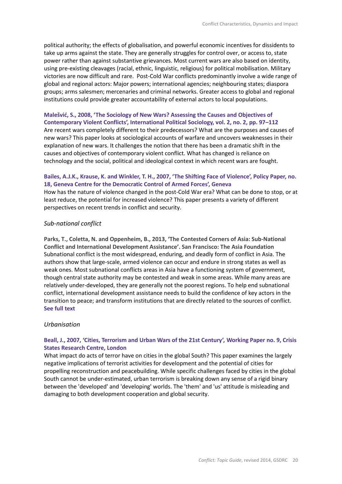political authority; the effects of globalisation, and powerful economic incentives for dissidents to take up arms against the state. They are generally struggles for control over, or access to, state power rather than against substantive grievances. Most current wars are also based on identity, using pre-existing cleavages (racial, ethnic, linguistic, religious) for political mobilisation. Military victories are now difficult and rare. Post-Cold War conflicts predominantly involve a wide range of global and regional actors: Major powers; international agencies; neighbouring states; diaspora groups; arms salesmen; mercenaries and criminal networks. Greater access to global and regional institutions could provide greater accountability of external actors to local populations.

#### **Malešvić, S., 2008, 'The Sociology of New Wars? Assessing the Causes and Objectives of Contemporary Violent Conflicts', International Political Sociology, vol. 2, no. 2, pp. 97–112**

Are recent wars completely different to their predecessors? What are the purposes and causes of new wars? This paper looks at sociological accounts of warfare and uncovers weaknesses in their explanation of new wars. It challenges the notion that there has been a dramatic shift in the causes and objectives of contemporary violent conflict. What has changed is reliance on technology and the social, political and ideological context in which recent wars are fought.

#### **Bailes, A.J.K., Krause, K. and Winkler, T. H., 2007, 'The Shifting Face of Violence', Policy Paper, no. 18, Geneva Centre for the Democratic Control of Armed Forces', Geneva**

How has the nature of violence changed in the post-Cold War era? What can be done to stop, or at least reduce, the potential for increased violence? This paper presents a variety of different perspectives on recent trends in conflict and security.

#### *Sub-national conflict*

**Parks, T., Coletta, N. and Oppenheim, B., 2013, 'The Contested Corners of Asia: Sub-National Conflict and International Development Assistance'. San Francisco: The Asia Foundation** Subnational conflict is the most widespread, enduring, and deadly form of conflict in Asia. The authors show that large-scale, armed violence can occur and endure in strong states as well as weak ones. Most subnational conflicts areas in Asia have a functioning system of government, though central state authority may be contested and weak in some areas. While many areas are relatively under-developed, they are generally not the poorest regions. To help end subnational conflict, international development assistance needs to build the confidence of key actors in the transition to peace; and transform institutions that are directly related to the sources of conflict. **See full text**

#### *Urbanisation*

#### **Beall, J., 2007, 'Cities, Terrorism and Urban Wars of the 21st Century', Working Paper no. 9, Crisis States Research Centre, London**

What impact do acts of terror have on cities in the global South? This paper examines the largely negative implications of terrorist activities for development and the potential of cities for propelling reconstruction and peacebuilding. While specific challenges faced by cities in the global South cannot be under-estimated, urban terrorism is breaking down any sense of a rigid binary between the 'developed' and 'developing' worlds. The 'them' and 'us' attitude is misleading and damaging to both development cooperation and global security.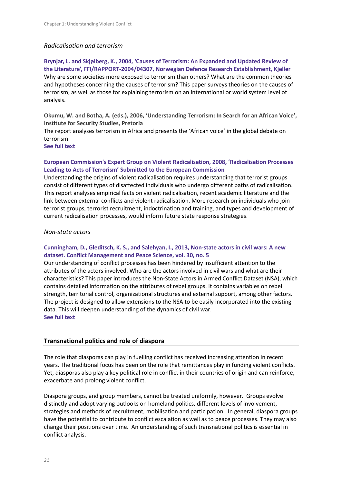#### *Radicalisation and terrorism*

**Brynjar, L. and Skjølberg, K., 2004, 'Causes of Terrorism: An Expanded and Updated Review of the Literature', FFI/RAPPORT-2004/04307, Norwegian Defence Research Establishment, Kjeller** Why are some societies more exposed to terrorism than others? What are the common theories and hypotheses concerning the causes of terrorism? This paper surveys theories on the causes of terrorism, as well as those for explaining terrorism on an international or world system level of analysis.

**Okumu, W. and Botha, A. (eds.), 2006, 'Understanding Terrorism: In Search for an African Voice', Institute for Security Studies, Pretoria**

The report analyses terrorism in Africa and presents the 'African voice' in the global debate on terrorism.

**See full text**

#### **European Commission's Expert Group on Violent Radicalisation, 2008, 'Radicalisation Processes Leading to Acts of Terrorism' Submitted to the European Commission**

Understanding the origins of violent radicalisation requires understanding that terrorist groups consist of different types of disaffected individuals who undergo different paths of radicalisation. This report analyses empirical facts on violent radicalisation, recent academic literature and the link between external conflicts and violent radicalisation. More research on individuals who join terrorist groups, terrorist recruitment, indoctrination and training, and types and development of current radicalisation processes, would inform future state response strategies.

#### *Non-state actors*

#### **Cunningham, D., Gleditsch, K. S., and Salehyan, I., 2013, Non-state actors in civil wars: A new dataset. Conflict Management and Peace Science, vol. 30, no. 5**

Our understanding of conflict processes has been hindered by insufficient attention to the attributes of the actors involved. Who are the actors involved in civil wars and what are their characteristics? This paper introduces the Non-State Actors in Armed Conflict Dataset (NSA), which contains detailed information on the attributes of rebel groups. It contains variables on rebel strength, territorial control, organizational structures and external support, among other factors. The project is designed to allow extensions to the NSA to be easily incorporated into the existing data. This will deepen understanding of the dynamics of civil war. **See full text**

#### **Transnational politics and role of diaspora**

The role that diasporas can play in fuelling conflict has received increasing attention in recent years. The traditional focus has been on the role that remittances play in funding violent conflicts. Yet, diasporas also play a key political role in conflict in their countries of origin and can reinforce, exacerbate and prolong violent conflict.

Diaspora groups, and group members, cannot be treated uniformly, however. Groups evolve distinctly and adopt varying outlooks on homeland politics, different levels of involvement, strategies and methods of recruitment, mobilisation and participation. In general, diaspora groups have the potential to contribute to conflict escalation as well as to peace processes. They may also change their positions over time. An understanding of such transnational politics is essential in conflict analysis.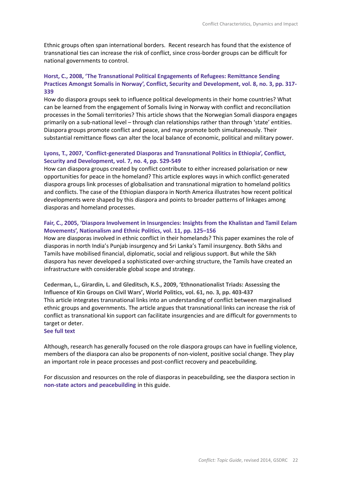Ethnic groups often span international borders. Recent research has found that the existence of transnational ties can increase the risk of conflict, since cross-border groups can be difficult for national governments to control.

#### **Horst, C., 2008, 'The Transnational Political Engagements of Refugees: Remittance Sending Practices Amongst Somalis in Norway', Conflict, Security and Development, vol. 8, no. 3, pp. 317- 339**

How do diaspora groups seek to influence political developments in their home countries? What can be learned from the engagement of Somalis living in Norway with conflict and reconciliation processes in the Somali territories? This article shows that the Norwegian Somali diaspora engages primarily on a sub-national level – through clan relationships rather than through 'state' entities. Diaspora groups promote conflict and peace, and may promote both simultaneously. Their substantial remittance flows can alter the local balance of economic, political and military power.

#### **Lyons, T., 2007, 'Conflict-generated Diasporas and Transnational Politics in Ethiopia', Conflict, Security and Development, vol. 7, no. 4, pp. 529-549**

How can diaspora groups created by conflict contribute to either increased polarisation or new opportunities for peace in the homeland? This article explores ways in which conflict-generated diaspora groups link processes of globalisation and transnational migration to homeland politics and conflicts. The case of the Ethiopian diaspora in North America illustrates how recent political developments were shaped by this diaspora and points to broader patterns of linkages among diasporas and homeland processes.

#### **Fair, C., 2005, 'Diaspora Involvement in Insurgencies: Insights from the Khalistan and Tamil Eelam Movements', Nationalism and Ethnic Politics, vol. 11, pp. 125–156**

How are diasporas involved in ethnic conflict in their homelands? This paper examines the role of diasporas in north India's Punjab insurgency and Sri Lanka's Tamil insurgency. Both Sikhs and Tamils have mobilised financial, diplomatic, social and religious support. But while the Sikh diaspora has never developed a sophisticated over-arching structure, the Tamils have created an infrastructure with considerable global scope and strategy.

**Cederman, L., Girardin, L. and Gleditsch, K.S., 2009, 'Ethnonationalist Triads: Assessing the Influence of Kin Groups on Civil Wars', World Politics, vol. 61, no. 3, pp. 403-437** This article integrates transnational links into an understanding of conflict between marginalised ethnic groups and governments. The article argues that transnational links can increase the risk of conflict as transnational kin support can facilitate insurgencies and are difficult for governments to target or deter.

#### **See full text**

Although, research has generally focused on the role diaspora groups can have in fuelling violence, members of the diaspora can also be proponents of non-violent, positive social change. They play an important role in peace processes and post-conflict recovery and peacebuilding.

For discussion and resources on the role of diasporas in peacebuilding, see the diaspora section in **non-state actors and peacebuilding** in this guide.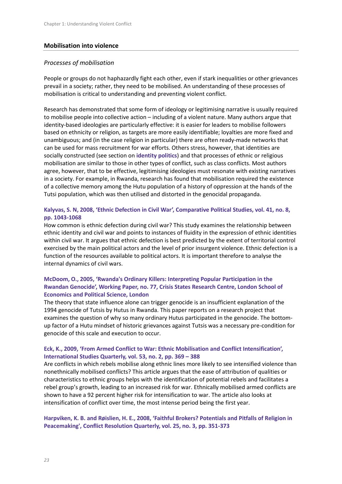#### **Mobilisation into violence**

#### *Processes of mobilisation*

People or groups do not haphazardly fight each other, even if stark inequalities or other grievances prevail in a society; rather, they need to be mobilised. An understanding of these processes of mobilisation is critical to understanding and preventing violent conflict.

Research has demonstrated that some form of ideology or legitimising narrative is usually required to mobilise people into collective action – including of a violent nature. Many authors argue that identity-based ideologies are particularly effective: it is easier for leaders to mobilise followers based on ethnicity or religion, as targets are more easily identifiable; loyalties are more fixed and unambiguous; and (in the case religion in particular) there are often ready-made networks that can be used for mass recruitment for war efforts. Others stress, however, that identities are socially constructed (see section on **identity politics**) and that processes of ethnic or religious mobilisation are similar to those in other types of conflict, such as class conflicts. Most authors agree, however, that to be effective, legitimising ideologies must resonate with existing narratives in a society. For example, in Rwanda, research has found that mobilisation required the existence of a collective memory among the Hutu population of a history of oppression at the hands of the Tutsi population, which was then utilised and distorted in the genocidal propaganda.

#### **Kalyvas, S. N, 2008, 'Ethnic Defection in Civil War', Comparative Political Studies, vol. 41, no. 8, pp. 1043-1068**

How common is ethnic defection during civil war? This study examines the relationship between ethnic identity and civil war and points to instances of fluidity in the expression of ethnic identities within civil war. It argues that ethnic defection is best predicted by the extent of territorial control exercised by the main political actors and the level of prior insurgent violence. Ethnic defection is a function of the resources available to political actors. It is important therefore to analyse the internal dynamics of civil wars.

#### **McDoom, O., 2005, 'Rwanda's Ordinary Killers: Interpreting Popular Participation in the Rwandan Genocide', Working Paper, no. 77, Crisis States Research Centre, London School of Economics and Political Science, London**

The theory that state influence alone can trigger genocide is an insufficient explanation of the 1994 genocide of Tutsis by Hutus in Rwanda. This paper reports on a research project that examines the question of why so many ordinary Hutus participated in the genocide. The bottomup factor of a Hutu mindset of historic grievances against Tutsis was a necessary pre-condition for genocide of this scale and execution to occur.

# **Eck, K., 2009, 'From Armed Conflict to War: Ethnic Mobilisation and Conflict Intensification', International Studies Quarterly, vol. 53, no. 2, pp. 369 – 388**

Are conflicts in which rebels mobilise along ethnic lines more likely to see intensified violence than nonethnically mobilised conflicts? This article argues that the ease of attribution of qualities or characteristics to ethnic groups helps with the identification of potential rebels and facilitates a rebel group's growth, leading to an increased risk for war. Ethnically mobilised armed conflicts are shown to have a 92 percent higher risk for intensification to war. The article also looks at intensification of conflict over time, the most intense period being the first year.

#### **Harpviken, K. B. and Røislien, H. E., 2008, 'Faithful Brokers? Potentials and Pitfalls of Religion in Peacemaking', Conflict Resolution Quarterly, vol. 25, no. 3, pp. 351-373**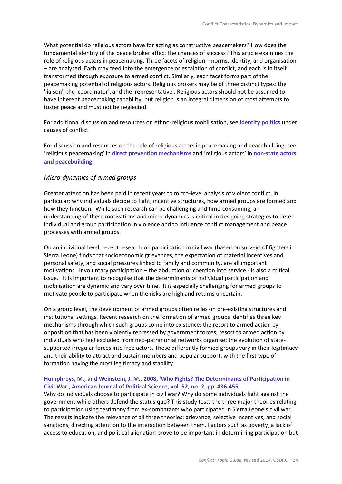What potential do religious actors have for acting as constructive peacemakers? How does the fundamental identity of the peace broker affect the chances of success? This article examines the role of religious actors in peacemaking. Three facets of religion – norms, identity, and organisation – are analysed. Each may feed into the emergence or escalation of conflict, and each is in itself transformed through exposure to armed conflict. Similarly, each facet forms part of the peacemaking potential of religious actors. Religious brokers may be of three distinct types: the 'liaison', the 'coordinator', and the 'representative'. Religious actors should not be assumed to have inherent peacemaking capability, but religion is an integral dimension of most attempts to foster peace and must not be neglected.

For additional discussion and resources on ethno-religious mobilisation, see **identity politics** under causes of conflict.

For discussion and resources on the role of religious actors in peacemaking and peacebuilding, see 'religious peacemaking' in **direct prevention mechanisms** and 'religious actors' in **non-state actors and peacebuilding.**

#### *Micro-dynamics of armed groups*

Greater attention has been paid in recent years to micro-level analysis of violent conflict, in particular: why individuals decide to fight, incentive structures, how armed groups are formed and how they function. While such research can be challenging and time-consuming, an understanding of these motivations and micro-dynamics is critical in designing strategies to deter individual and group participation in violence and to influence conflict management and peace processes with armed groups.

On an individual level, recent research on participation in civil war (based on surveys of fighters in Sierra Leone) finds that socioeconomic grievances, the expectation of material incentives and personal safety, and social pressures linked to family and community, are all important motivations. Involuntary participation – the abduction or coercion into service - is also a critical issue. It is important to recognise that the determinants of individual participation and mobilisation are dynamic and vary over time. It is especially challenging for armed groups to motivate people to participate when the risks are high and returns uncertain.

On a group level, the development of armed groups often relies on pre-existing structures and institutional settings. Recent research on the formation of armed groups identifies three key mechanisms through which such groups come into existence: the resort to armed action by opposition that has been violently repressed by government forces; resort to armed action by individuals who feel excluded from neo-patrimonial networks organise; the evolution of statesupported irregular forces into free actors. These differently formed groups vary in their legitimacy and their ability to attract and sustain members and popular support, with the first type of formation having the most legitimacy and stability.

#### **Humphreys, M., and Weinstein, J. M., 2008, 'Who Fights? The Determinants of Participation in Civil War', American Journal of Political Science, vol. 52, no. 2, pp. 436-455**

Why do individuals choose to participate in civil war? Why do some individuals fight against the government while others defend the status quo? This study tests the three major theories relating to participation using testimony from ex-combatants who participated in Sierra Leone's civil war. The results indicate the relevance of all three theories: grievance, selective incentives, and social sanctions, directing attention to the interaction between them. Factors such as poverty, a lack of access to education, and political alienation prove to be important in determining participation but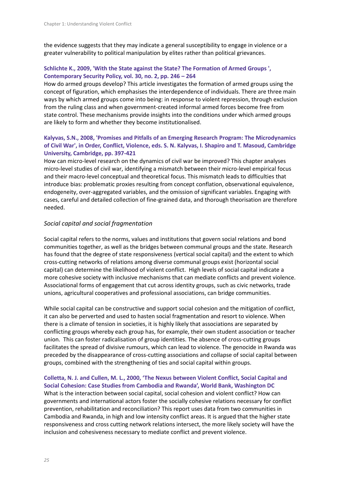the evidence suggests that they may indicate a general susceptibility to engage in violence or a greater vulnerability to political manipulation by elites rather than political grievances.

# **Schlichte K., 2009, 'With the State against the State? The Formation of Armed Groups ', Contemporary Security Policy, vol. 30, no. 2, pp. 246 – 264**

How do armed groups develop? This article investigates the formation of armed groups using the concept of figuration, which emphasises the interdependence of individuals. There are three main ways by which armed groups come into being: in response to violent repression, through exclusion from the ruling class and when government-created informal armed forces become free from state control. These mechanisms provide insights into the conditions under which armed groups are likely to form and whether they become institutionalised.

# **Kalyvas, S.N., 2008, 'Promises and Pitfalls of an Emerging Research Program: The Microdynamics of Civil War', in Order, Conflict, Violence, eds. S. N. Kalyvas, I. Shapiro and T. Masoud, Cambridge University, Cambridge, pp. 397-421**

How can micro-level research on the dynamics of civil war be improved? This chapter analyses micro-level studies of civil war, identifying a mismatch between their micro-level empirical focus and their macro-level conceptual and theoretical focus. This mismatch leads to difficulties that introduce bias: problematic proxies resulting from concept conflation, observational equivalence, endogeneity, over-aggregated variables, and the omission of significant variables. Engaging with cases, careful and detailed collection of fine-grained data, and thorough theorisation are therefore needed.

# *Social capital and social fragmentation*

Social capital refers to the norms, values and institutions that govern social relations and bond communities together, as well as the bridges between communal groups and the state. Research has found that the degree of state responsiveness (vertical social capital) and the extent to which cross-cutting networks of relations among diverse communal groups exist (horizontal social capital) can determine the likelihood of violent conflict. High levels of social capital indicate a more cohesive society with inclusive mechanisms that can mediate conflicts and prevent violence. Associational forms of engagement that cut across identity groups, such as civic networks, trade unions, agricultural cooperatives and professional associations, can bridge communities.

While social capital can be constructive and support social cohesion and the mitigation of conflict, it can also be perverted and used to hasten social fragmentation and resort to violence. When there is a climate of tension in societies, it is highly likely that associations are separated by conflicting groups whereby each group has, for example, their own student association or teacher union. This can foster radicalisation of group identities. The absence of cross-cutting groups facilitates the spread of divisive rumours, which can lead to violence. The genocide in Rwanda was preceded by the disappearance of cross-cutting associations and collapse of social capital between groups, combined with the strengthening of ties and social capital within groups.

#### **Colletta, N. J. and Cullen, M. L., 2000, 'The Nexus between Violent Conflict, Social Capital and Social Cohesion: Case Studies from Cambodia and Rwanda', World Bank, Washington DC**

What is the interaction between social capital, social cohesion and violent conflict? How can governments and international actors foster the socially cohesive relations necessary for conflict prevention, rehabilitation and reconciliation? This report uses data from two communities in Cambodia and Rwanda, in high and low intensity conflict areas. It is argued that the higher state responsiveness and cross cutting network relations intersect, the more likely society will have the inclusion and cohesiveness necessary to mediate conflict and prevent violence.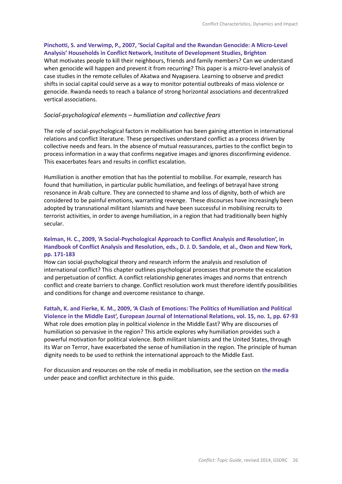#### **Pinchotti, S. and Verwimp, P., 2007, 'Social Capital and the Rwandan Genocide: A Micro-Level Analysis' Households in Conflict Network, Institute of Development Studies, Brighton**

What motivates people to kill their neighbours, friends and family members? Can we understand when genocide will happen and prevent it from recurring? This paper is a micro-level analysis of case studies in the remote cellules of Akatwa and Nyagasera. Learning to observe and predict shifts in social capital could serve as a way to monitor potential outbreaks of mass violence or genocide. Rwanda needs to reach a balance of strong horizontal associations and decentralized vertical associations.

#### *Social-psychological elements – humiliation and collective fears*

The role of social-psychological factors in mobilisation has been gaining attention in international relations and conflict literature. These perspectives understand conflict as a process driven by collective needs and fears. In the absence of mutual reassurances, parties to the conflict begin to process information in a way that confirms negative images and ignores disconfirming evidence. This exacerbates fears and results in conflict escalation.

Humiliation is another emotion that has the potential to mobilise. For example, research has found that humiliation, in particular public humiliation, and feelings of betrayal have strong resonance in Arab culture. They are connected to shame and loss of dignity, both of which are considered to be painful emotions, warranting revenge. These discourses have increasingly been adopted by transnational militant Islamists and have been successful in mobilising recruits to terrorist activities, in order to avenge humiliation, in a region that had traditionally been highly secular.

#### **Kelman, H. C., 2009, 'A Social-Psychological Approach to Conflict Analysis and Resolution', in Handbook of Conflict Analysis and Resolution, eds., D. J. D. Sandole, et al., Oxon and New York, pp. 171-183**

How can social-psychological theory and research inform the analysis and resolution of international conflict? This chapter outlines psychological processes that promote the escalation and perpetuation of conflict. A conflict relationship generates images and norms that entrench conflict and create barriers to change. Conflict resolution work must therefore identify possibilities and conditions for change and overcome resistance to change.

#### **Fattah, K. and Fierke, K. M., 2009, 'A Clash of Emotions: The Politics of Humiliation and Political Violence in the Middle East', European Journal of International Relations, vol. 15, no. 1, pp. 67-93**

What role does emotion play in political violence in the Middle East? Why are discourses of humiliation so pervasive in the region? This article explores why humiliation provides such a powerful motivation for political violence. Both militant Islamists and the United States, through its War on Terror, have exacerbated the sense of humiliation in the region. The principle of human dignity needs to be used to rethink the international approach to the Middle East.

For discussion and resources on the role of media in mobilisation, see the section on **the media** under peace and conflict architecture in this guide.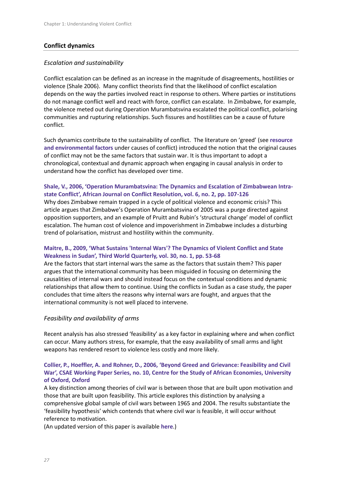# **Conflict dynamics**

#### *Escalation and sustainability*

Conflict escalation can be defined as an increase in the magnitude of disagreements, hostilities or violence (Shale 2006). Many conflict theorists find that the likelihood of conflict escalation depends on the way the parties involved react in response to others. Where parties or institutions do not manage conflict well and react with force, conflict can escalate. In Zimbabwe, for example, the violence meted out during Operation Murambatsvina escalated the political conflict, polarising communities and rupturing relationships. Such fissures and hostilities can be a cause of future conflict.

Such dynamics contribute to the sustainability of conflict. The literature on 'greed' (see **resource and environmental factors** under causes of conflict) introduced the notion that the original causes of conflict may not be the same factors that sustain war. It is thus important to adopt a chronological, contextual and dynamic approach when engaging in causal analysis in order to understand how the conflict has developed over time.

# **Shale, V., 2006, 'Operation Murambatsvina: The Dynamics and Escalation of Zimbabwean Intrastate Conflict', African Journal on Conflict Resolution, vol. 6, no. 2, pp. 107-126**

Why does Zimbabwe remain trapped in a cycle of political violence and economic crisis? This article argues that Zimbabwe's Operation Murambatsvina of 2005 was a purge directed against opposition supporters, and an example of Pruitt and Rubin's 'structural change' model of conflict escalation. The human cost of violence and impoverishment in Zimbabwe includes a disturbing trend of polarisation, mistrust and hostility within the community.

# **Maitre, B., 2009, 'What Sustains 'Internal Wars'? The Dynamics of Violent Conflict and State Weakness in Sudan', Third World Quarterly, vol. 30, no. 1, pp. 53-68**

Are the factors that start internal wars the same as the factors that sustain them? This paper argues that the international community has been misguided in focusing on determining the causalities of internal wars and should instead focus on the contextual conditions and dynamic relationships that allow them to continue. Using the conflicts in Sudan as a case study, the paper concludes that time alters the reasons why internal wars are fought, and argues that the international community is not well placed to intervene.

# *Feasibility and availability of arms*

Recent analysis has also stressed 'feasibility' as a key factor in explaining where and when conflict can occur. Many authors stress, for example, that the easy availability of small arms and light weapons has rendered resort to violence less costly and more likely.

# **Collier, P., Hoeffler, A. and Rohner, D., 2006, 'Beyond Greed and Grievance: Feasibility and Civil War', CSAE Working Paper Series, no. 10, Centre for the Study of African Economies, University of Oxford, Oxford**

A key distinction among theories of civil war is between those that are built upon motivation and those that are built upon feasibility. This article explores this distinction by analysing a comprehensive global sample of civil wars between 1965 and 2004. The results substantiate the 'feasibility hypothesis' which contends that where civil war is feasible, it will occur without reference to motivation.

(An updated version of this paper is available **here**.)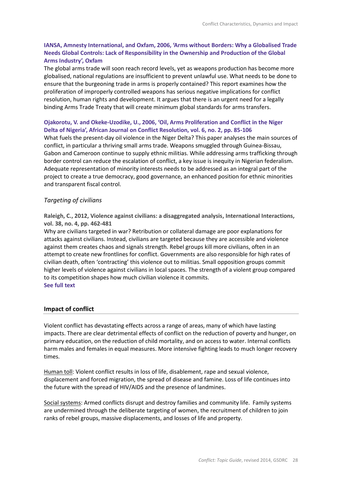# **IANSA, Amnesty International, and Oxfam, 2006, 'Arms without Borders: Why a Globalised Trade Needs Global Controls: Lack of Responsibility in the Ownership and Production of the Global Arms Industry', Oxfam**

The global arms trade will soon reach record levels, yet as weapons production has become more globalised, national regulations are insufficient to prevent unlawful use. What needs to be done to ensure that the burgeoning trade in arms is properly contained? This report examines how the proliferation of improperly controlled weapons has serious negative implications for conflict resolution, human rights and development. It argues that there is an urgent need for a legally binding Arms Trade Treaty that will create minimum global standards for arms transfers.

#### **Ojakorotu, V. and Okeke-Uzodike, U., 2006, 'Oil, Arms Proliferation and Conflict in the Niger Delta of Nigeria', African Journal on Conflict Resolution, vol. 6, no. 2, pp. 85-106**

What fuels the present-day oil violence in the Niger Delta? This paper analyses the main sources of conflict, in particular a thriving small arms trade. Weapons smuggled through Guinea-Bissau, Gabon and Cameroon continue to supply ethnic militias. While addressing arms trafficking through border control can reduce the escalation of conflict, a key issue is inequity in Nigerian federalism. Adequate representation of minority interests needs to be addressed as an integral part of the project to create a true democracy, good governance, an enhanced position for ethnic minorities and transparent fiscal control.

# *Targeting of civilians*

**Raleigh, C., 2012, Violence against civilians: a disaggregated analysis, International Interactions, vol. 38, no. 4, pp. 462-481**

Why are civilians targeted in war? Retribution or collateral damage are poor explanations for attacks against civilians. Instead, civilians are targeted because they are accessible and violence against them creates chaos and signals strength. Rebel groups kill more civilians, often in an attempt to create new frontlines for conflict. Governments are also responsible for high rates of civilian death, often 'contracting' this violence out to militias. Small opposition groups commit higher levels of violence against civilians in local spaces. The strength of a violent group compared to its competition shapes how much civilian violence it commits. **See full text**

# **Impact of conflict**

Violent conflict has devastating effects across a range of areas, many of which have lasting impacts. There are clear detrimental effects of conflict on the reduction of poverty and hunger, on primary education, on the reduction of child mortality, and on access to water. Internal conflicts harm males and females in equal measures. More intensive fighting leads to much longer recovery times.

Human toll: Violent conflict results in loss of life, disablement, rape and sexual violence, displacement and forced migration, the spread of disease and famine. Loss of life continues into the future with the spread of HIV/AIDS and the presence of landmines.

Social systems: Armed conflicts disrupt and destroy families and community life. Family systems are undermined through the deliberate targeting of women, the recruitment of children to join ranks of rebel groups, massive displacements, and losses of life and property.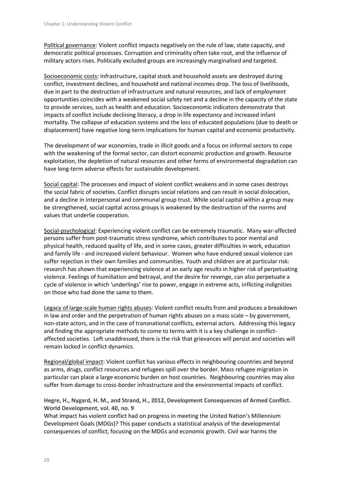Political governance: Violent conflict impacts negatively on the rule of law, state capacity, and democratic political processes. Corruption and criminality often take root, and the influence of military actors rises. Politically excluded groups are increasingly marginalised and targeted.

Socioeconomic costs: Infrastructure, capital stock and household assets are destroyed during conflict, investment declines, and household and national incomes drop. The loss of livelihoods, due in part to the destruction of infrastructure and natural resources, and lack of employment opportunities coincides with a weakened social safety net and a decline in the capacity of the state to provide services, such as health and education. Socioeconomic indicators demonstrate that impacts of conflict include declining literacy, a drop in life expectancy and increased infant mortality. The collapse of education systems and the loss of educated populations (due to death or displacement) have negative long-term implications for human capital and economic productivity.

The development of war economies, trade in illicit goods and a focus on informal sectors to cope with the weakening of the formal sector, can distort economic production and growth. Resource exploitation, the depletion of natural resources and other forms of environmental degradation can have long-term adverse effects for sustainable development.

Social capital: The processes and impact of violent conflict weakens and in some cases destroys the social fabric of societies. Conflict disrupts social relations and can result in social dislocation, and a decline in interpersonal and communal group trust. While social capital within a group may be strengthened, social capital across groups is weakened by the destruction of the norms and values that underlie cooperation.

Social-psychological: Experiencing violent conflict can be extremely traumatic. Many war-affected persons suffer from post-traumatic stress syndrome, which contributes to poor mental and physical health, reduced quality of life, and in some cases, greater difficulties in work, education and family life - and increased violent behaviour. Women who have endured sexual violence can suffer rejection in their own families and communities. Youth and children are at particular risk: research has shown that experiencing violence at an early age results in higher risk of perpetuating violence. Feelings of humiliation and betrayal, and the desire for revenge, can also perpetuate a cycle of violence in which 'underlings' rise to power, engage in extreme acts, inflicting indignities on those who had done the same to them.

Legacy of large-scale human rights abuses: Violent conflict results from and produces a breakdown in law and order and the perpetration of human rights abuses on a mass scale – by government, non-state actors, and in the case of transnational conflicts, external actors. Addressing this legacy and finding the appropriate methods to come to terms with it is a key challenge in conflictaffected societies. Left unaddressed, there is the risk that grievances will persist and societies will remain locked in conflict dynamics.

Regional/global impact: Violent conflict has various effects in neighbouring countries and beyond as arms, drugs, conflict resources and refugees spill over the border. Mass refugee migration in particular can place a large economic burden on host countries. Neighbouring countries may also suffer from damage to cross-border infrastructure and the environmental impacts of conflict.

**Hegre, H., Nygard, H. M., and Strand, H., 2012, Development Consequences of Armed Conflict. World Development, vol. 40, no. 9**

What impact has violent conflict had on progress in meeting the United Nation's Millennium Development Goals (MDGs)? This paper conducts a statistical analysis of the developmental consequences of conflict, focusing on the MDGs and economic growth. Civil war harms the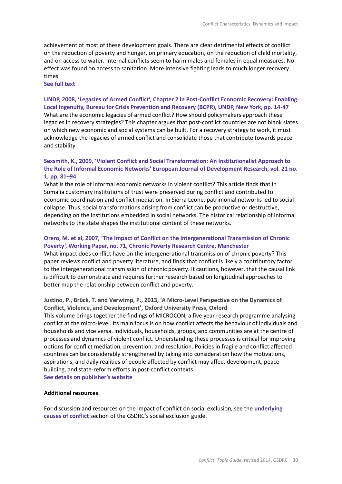achievement of most of these development goals. There are clear detrimental effects of conflict on the reduction of poverty and hunger, on primary education, on the reduction of child mortality, and on access to water. Internal conflicts seem to harm males and females in equal measures. No effect was found on access to sanitation. More intensive fighting leads to much longer recovery times.

#### **See full text**

# **UNDP, 2008, 'Legacies of Armed Conflict', Chapter 2 in Post-Conflict Economic Recovery: Enabling Local Ingenuity, Bureau for Crisis Prevention and Recovery (BCPR), UNDP, New York, pp. 14-47** What are the economic legacies of armed conflict? How should policymakers approach these legacies in recovery strategies? This chapter argues that post-conflict countries are not blank slates on which new economic and social systems can be built. For a recovery strategy to work, it must acknowledge the legacies of armed conflict and consolidate those that contribute towards peace and stability.

#### **Sexsmith, K., 2009, 'Violent Conflict and Social Transformation: An Institutionalist Approach to the Role of Informal Economic Networks' European Journal of Development Research, vol. 21 no. 1, pp. 81–94**

What is the role of informal economic networks in violent conflict? This article finds that in Somalia customary institutions of trust were preserved during conflict and contributed to economic coordination and conflict mediation. In Sierra Leone, patrimonial networks led to social collapse. Thus, social transformations arising from conflict can be productive or destructive, depending on the institutions embedded in social networks. The historical relationship of informal networks to the state shapes the institutional content of these networks.

#### **Orero, M. et al, 2007, 'The Impact of Conflict on the Intergenerational Transmission of Chronic Poverty', Working Paper, no. 71, Chronic Poverty Research Centre, Manchester**

What impact does conflict have on the intergenerational transmission of chronic poverty? This paper reviews conflict and poverty literature, and finds that conflict is likely a contributory factor to the intergenerational transmission of chronic poverty. It cautions, however, that the causal link is difficult to demonstrate and requires further research based on longitudinal approaches to better map the relationship between conflict and poverty.

**Justino, P., Brück, T. and Verwimp, P., 2013, 'A Micro-Level Perspective on the Dynamics of Conflict, Violence, and Development', Oxford University Press, Oxford**

This volume brings together the findings of MICROCON, a five year research programme analysing conflict at the micro-level. Its main focus is on how conflict affects the behaviour of individuals and households and vice versa. Individuals, households, groups, and communities are at the centre of processes and dynamics of violent conflict. Understanding these processes is critical for improving options for conflict mediation, prevention, and resolution. Policies in fragile and conflict affected countries can be considerably strengthened by taking into consideration how the motivations, aspirations, and daily realities of people affected by conflict may affect development, peacebuilding, and state-reform efforts in post-conflict contexts. **See details on publisher's website**

#### **Additional resources**

For discussion and resources on the impact of conflict on social exclusion, see the **underlying causes of conflict** section of the GSDRC's social exclusion guide.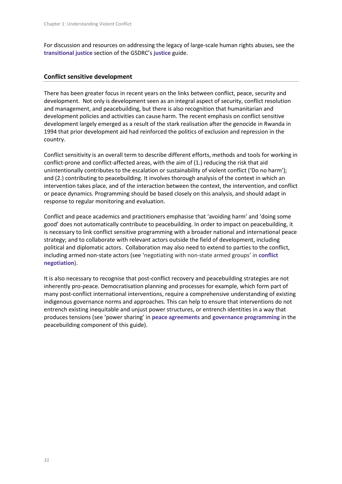For discussion and resources on addressing the legacy of large-scale human rights abuses, see the **transitional justice** section of the GSDRC's **justice** guide.

#### **Conflict sensitive development**

There has been greater focus in recent years on the links between conflict, peace, security and development. Not only is development seen as an integral aspect of security, conflict resolution and management, and peacebuilding, but there is also recognition that humanitarian and development policies and activities can cause harm. The recent emphasis on conflict sensitive development largely emerged as a result of the stark realisation after the genocide in Rwanda in 1994 that prior development aid had reinforced the politics of exclusion and repression in the country.

Conflict sensitivity is an overall term to describe different efforts, methods and tools for working in conflict-prone and conflict-affected areas, with the aim of (1.) reducing the risk that aid unintentionally contributes to the escalation or sustainability of violent conflict ('Do no harm'); and (2.) contributing to peacebuilding. It involves thorough analysis of the context in which an intervention takes place, and of the interaction between the context, the intervention, and conflict or peace dynamics. Programming should be based closely on this analysis, and should adapt in response to regular monitoring and evaluation.

Conflict and peace academics and practitioners emphasise that 'avoiding harm' and 'doing some good' does not automatically contribute to peacebuilding. In order to impact on peacebuilding, it is necessary to link conflict sensitive programming with a broader national and international peace strategy; and to collaborate with relevant actors outside the field of development, including political and diplomatic actors. Collaboration may also need to extend to parties to the conflict, including armed non-state actors (see 'negotiating with non-state armed groups' in **conflict negotiation**).

It is also necessary to recognise that post-conflict recovery and peacebuilding strategies are not inherently pro-peace. Democratisation planning and processes for example, which form part of many post-conflict international interventions, require a comprehensive understanding of existing indigenous governance norms and approaches. This can help to ensure that interventions do not entrench existing inequitable and unjust power structures, or entrench identities in a way that produces tensions (see 'power sharing' in **peace agreements** and **governance programming** in the peacebuilding component of this guide).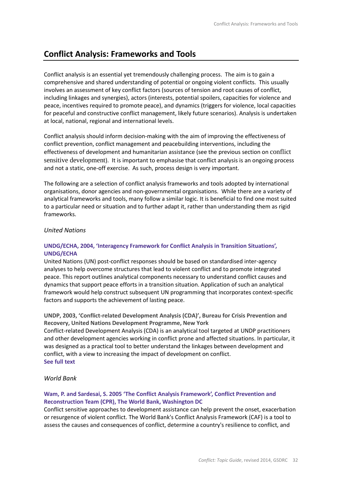# **Conflict Analysis: Frameworks and Tools**

Conflict analysis is an essential yet tremendously challenging process. The aim is to gain a comprehensive and shared understanding of potential or ongoing violent conflicts. This usually involves an assessment of key conflict factors (sources of tension and root causes of conflict, including linkages and synergies), actors (interests, potential spoilers, capacities for violence and peace, incentives required to promote peace), and dynamics (triggers for violence, local capacities for peaceful and constructive conflict management, likely future scenarios). Analysis is undertaken at local, national, regional and international levels.

Conflict analysis should inform decision-making with the aim of improving the effectiveness of conflict prevention, conflict management and peacebuilding interventions, including the effectiveness of development and humanitarian assistance (see the previous section on conflict sensitive development). It is important to emphasise that conflict analysis is an ongoing process and not a static, one-off exercise. As such, process design is very important.

The following are a selection of conflict analysis frameworks and tools adopted by international organisations, donor agencies and non-governmental organisations. While there are a variety of analytical frameworks and tools, many follow a similar logic. It is beneficial to find one most suited to a particular need or situation and to further adapt it, rather than understanding them as rigid frameworks.

#### *United Nations*

#### **UNDG/ECHA, 2004, 'Interagency Framework for Conflict Analysis in Transition Situations', UNDG/ECHA**

United Nations (UN) post-conflict responses should be based on standardised inter-agency analyses to help overcome structures that lead to violent conflict and to promote integrated peace. This report outlines analytical components necessary to understand conflict causes and dynamics that support peace efforts in a transition situation. Application of such an analytical framework would help construct subsequent UN programming that incorporates context-specific factors and supports the achievement of lasting peace.

**UNDP, 2003, 'Conflict-related Development Analysis (CDA)', Bureau for Crisis Prevention and Recovery, United Nations Development Programme, New York** Conflict-related Development Analysis (CDA) is an analytical tool targeted at UNDP practitioners and other development agencies working in conflict prone and affected situations. In particular, it was designed as a practical tool to better understand the linkages between development and conflict, with a view to increasing the impact of development on conflict. **See full text**

#### *World Bank*

# **Wam, P. and Sardesai, S. 2005 'The Conflict Analysis Framework', Conflict Prevention and Reconstruction Team (CPR), The World Bank, Washington DC**

Conflict sensitive approaches to development assistance can help prevent the onset, exacerbation or resurgence of violent conflict. The World Bank's Conflict Analysis Framework (CAF) is a tool to assess the causes and consequences of conflict, determine a country's resilience to conflict, and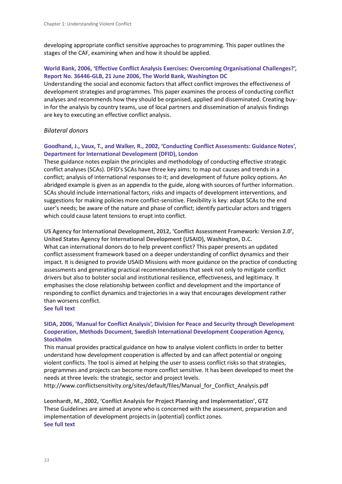developing appropriate conflict sensitive approaches to programming. This paper outlines the stages of the CAF, examining when and how it should be applied.

# **World Bank, 2006, 'Effective Conflict Analysis Exercises: Overcoming Organisational Challenges?', Report No. 36446-GLB, 21 June 2006, The World Bank, Washington DC**

Understanding the social and economic factors that affect conflict improves the effectiveness of development strategies and programmes. This paper examines the process of conducting conflict analyses and recommends how they should be organised, applied and disseminated. Creating buyin for the analysis by country teams, use of local partners and dissemination of analysis findings are key to executing an effective conflict analysis.

#### *Bilateral donors*

# **Goodhand, J., Vaux, T., and Walker, R., 2002, 'Conducting Conflict Assessments: Guidance Notes', Department for International Development (DFID), London**

These guidance notes explain the principles and methodology of conducting effective strategic conflict analyses (SCAs). DFID's SCAs have three key aims: to map out causes and trends in a conflict; analysis of international responses to it; and development of future policy options. An abridged example is given as an appendix to the guide, along with sources of further information. SCAs should include international factors, risks and impacts of development interventions, and suggestions for making policies more conflict-sensitive. Flexibility is key: adapt SCAs to the end user's needs; be aware of the nature and phase of conflict; identify particular actors and triggers which could cause latent tensions to erupt into conflict.

**US Agency for International Development, 2012, 'Conflict Assessment Framework: Version 2.0', United States Agency for International Development (USAID), Washington, D.C.** What can international donors do to help prevent conflict? This paper presents an updated conflict assessment framework based on a deeper understanding of conflict dynamics and their impact. It is designed to provide USAID Missions with more guidance on the practice of conducting assessments and generating practical recommendations that seek not only to mitigate conflict drivers but also to bolster social and institutional resilience, effectiveness, and legitimacy. It emphasises the close relationship between conflict and development and the importance of responding to conflict dynamics and trajectories in a way that encourages development rather than worsens conflict.

#### **See full text**

# **SIDA, 2006, 'Manual for Conflict Analysis', Division for Peace and Security through Development Cooperation, Methods Document, Swedish International Development Cooperation Agency, Stockholm**

This manual provides practical guidance on how to analyse violent conflicts in order to better understand how development cooperation is affected by and can affect potential or ongoing violent conflicts. The tool is aimed at helping the user to assess conflict risks so that strategies, programmes and projects can become more conflict sensitive. It has been developed to meet the needs at three levels: the strategic, sector and project levels.

http://www.conflictsensitivity.org/sites/default/files/Manual\_for\_Conflict\_Analysis.pdf

**Leonhardt, M., 2002, 'Conflict Analysis for Project Planning and Implementation', GTZ** These Guidelines are aimed at anyone who is concerned with the assessment, preparation and implementation of development projects in (potential) conflict zones. **See full text**